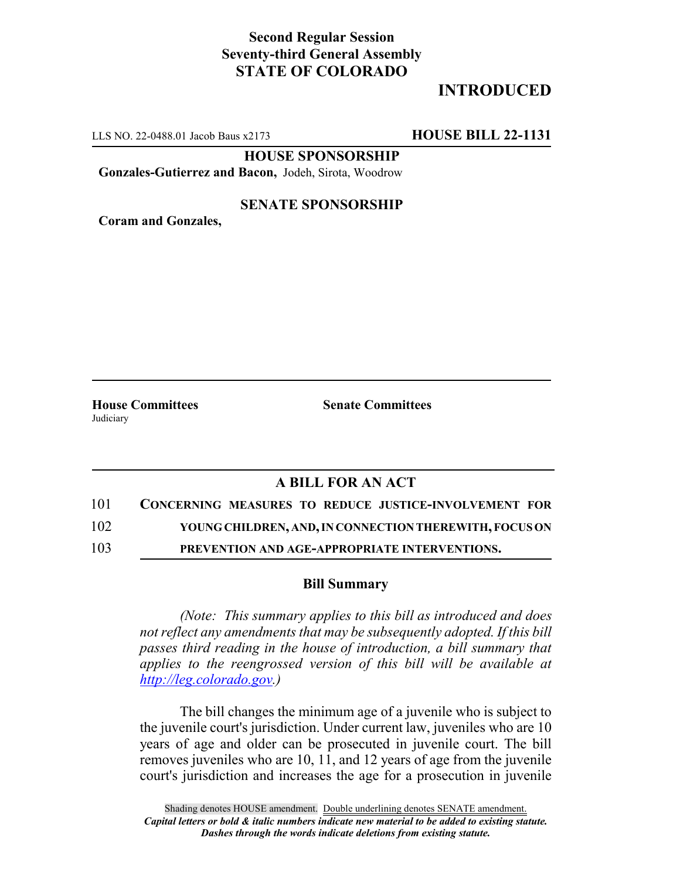## **Second Regular Session Seventy-third General Assembly STATE OF COLORADO**

# **INTRODUCED**

LLS NO. 22-0488.01 Jacob Baus x2173 **HOUSE BILL 22-1131**

**HOUSE SPONSORSHIP**

**Gonzales-Gutierrez and Bacon,** Jodeh, Sirota, Woodrow

#### **SENATE SPONSORSHIP**

**Coram and Gonzales,**

**House Committees Senate Committees Judiciary** 

### **A BILL FOR AN ACT**

101 **CONCERNING MEASURES TO REDUCE JUSTICE-INVOLVEMENT FOR**

102 **YOUNG CHILDREN, AND, IN CONNECTION THEREWITH, FOCUS ON**

103 **PREVENTION AND AGE-APPROPRIATE INTERVENTIONS.**

#### **Bill Summary**

*(Note: This summary applies to this bill as introduced and does not reflect any amendments that may be subsequently adopted. If this bill passes third reading in the house of introduction, a bill summary that applies to the reengrossed version of this bill will be available at http://leg.colorado.gov.)*

The bill changes the minimum age of a juvenile who is subject to the juvenile court's jurisdiction. Under current law, juveniles who are 10 years of age and older can be prosecuted in juvenile court. The bill removes juveniles who are 10, 11, and 12 years of age from the juvenile court's jurisdiction and increases the age for a prosecution in juvenile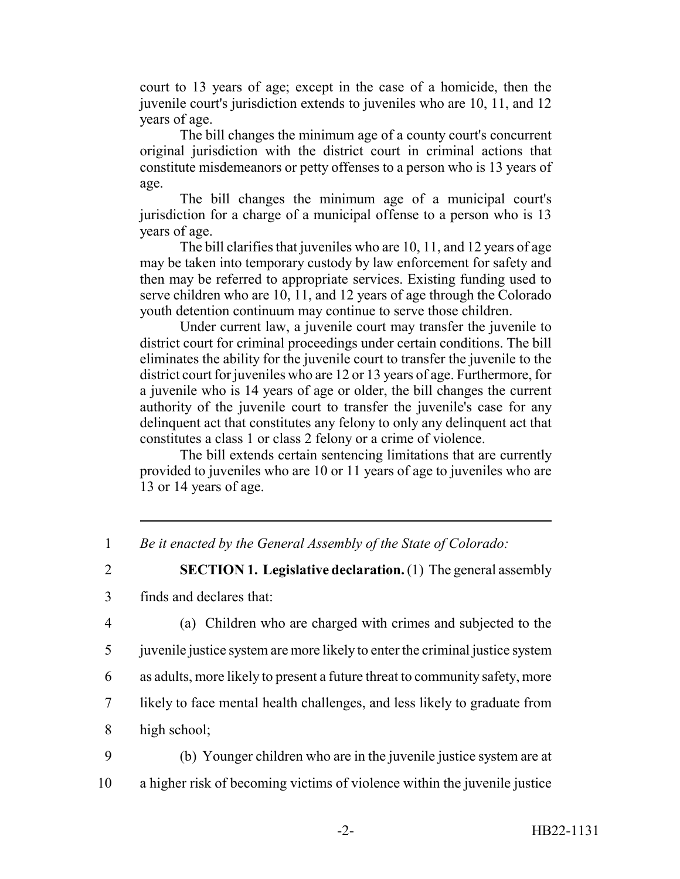court to 13 years of age; except in the case of a homicide, then the juvenile court's jurisdiction extends to juveniles who are 10, 11, and 12 years of age.

The bill changes the minimum age of a county court's concurrent original jurisdiction with the district court in criminal actions that constitute misdemeanors or petty offenses to a person who is 13 years of age.

The bill changes the minimum age of a municipal court's jurisdiction for a charge of a municipal offense to a person who is 13 years of age.

The bill clarifies that juveniles who are 10, 11, and 12 years of age may be taken into temporary custody by law enforcement for safety and then may be referred to appropriate services. Existing funding used to serve children who are 10, 11, and 12 years of age through the Colorado youth detention continuum may continue to serve those children.

Under current law, a juvenile court may transfer the juvenile to district court for criminal proceedings under certain conditions. The bill eliminates the ability for the juvenile court to transfer the juvenile to the district court for juveniles who are 12 or 13 years of age. Furthermore, for a juvenile who is 14 years of age or older, the bill changes the current authority of the juvenile court to transfer the juvenile's case for any delinquent act that constitutes any felony to only any delinquent act that constitutes a class 1 or class 2 felony or a crime of violence.

The bill extends certain sentencing limitations that are currently provided to juveniles who are 10 or 11 years of age to juveniles who are 13 or 14 years of age.

1 *Be it enacted by the General Assembly of the State of Colorado:*

2 **SECTION 1. Legislative declaration.** (1) The general assembly 3 finds and declares that:

4 (a) Children who are charged with crimes and subjected to the

5 juvenile justice system are more likely to enter the criminal justice system

6 as adults, more likely to present a future threat to community safety, more

- 7 likely to face mental health challenges, and less likely to graduate from
- 8 high school;

9 (b) Younger children who are in the juvenile justice system are at 10 a higher risk of becoming victims of violence within the juvenile justice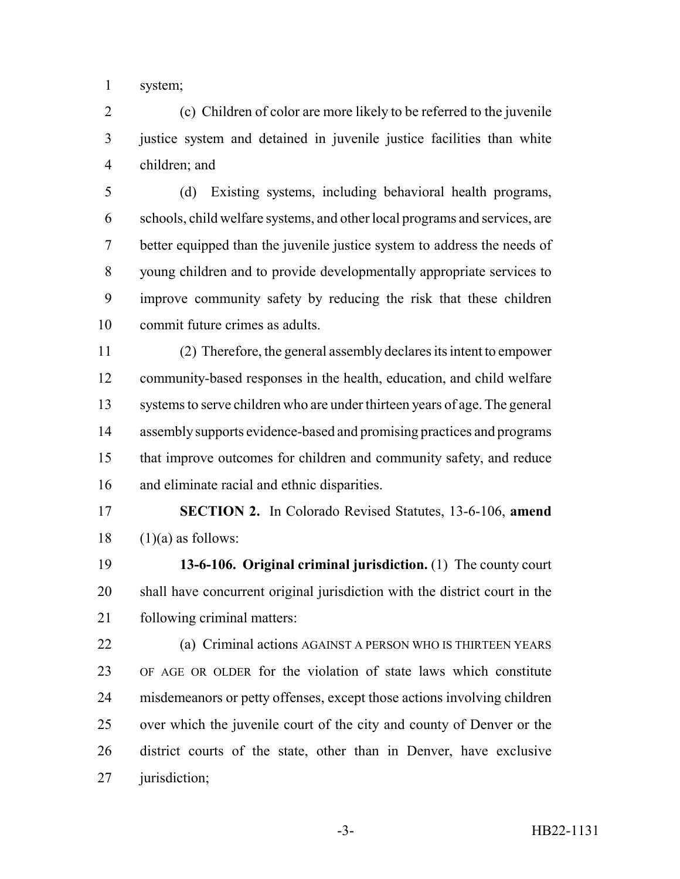system;

 (c) Children of color are more likely to be referred to the juvenile justice system and detained in juvenile justice facilities than white children; and

 (d) Existing systems, including behavioral health programs, schools, child welfare systems, and other local programs and services, are better equipped than the juvenile justice system to address the needs of young children and to provide developmentally appropriate services to improve community safety by reducing the risk that these children commit future crimes as adults.

 (2) Therefore, the general assembly declares its intent to empower community-based responses in the health, education, and child welfare systems to serve children who are under thirteen years of age. The general assembly supports evidence-based and promising practices and programs that improve outcomes for children and community safety, and reduce and eliminate racial and ethnic disparities.

 **SECTION 2.** In Colorado Revised Statutes, 13-6-106, **amend** (1)(a) as follows:

 **13-6-106. Original criminal jurisdiction.** (1) The county court shall have concurrent original jurisdiction with the district court in the following criminal matters:

 (a) Criminal actions AGAINST A PERSON WHO IS THIRTEEN YEARS OF AGE OR OLDER for the violation of state laws which constitute misdemeanors or petty offenses, except those actions involving children over which the juvenile court of the city and county of Denver or the district courts of the state, other than in Denver, have exclusive jurisdiction;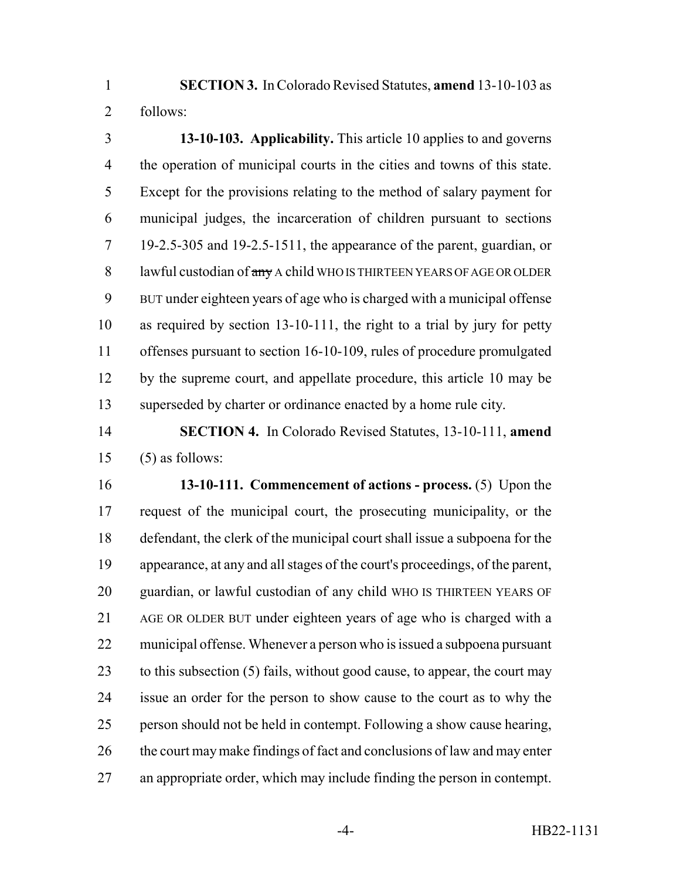**SECTION 3.** In Colorado Revised Statutes, **amend** 13-10-103 as follows:

 **13-10-103. Applicability.** This article 10 applies to and governs the operation of municipal courts in the cities and towns of this state. Except for the provisions relating to the method of salary payment for municipal judges, the incarceration of children pursuant to sections 19-2.5-305 and 19-2.5-1511, the appearance of the parent, guardian, or 8 lawful custodian of  $\frac{a_n}{b_n}$  A child WHO IS THIRTEEN YEARS OF AGE OR OLDER BUT under eighteen years of age who is charged with a municipal offense as required by section 13-10-111, the right to a trial by jury for petty offenses pursuant to section 16-10-109, rules of procedure promulgated by the supreme court, and appellate procedure, this article 10 may be superseded by charter or ordinance enacted by a home rule city.

 **SECTION 4.** In Colorado Revised Statutes, 13-10-111, **amend** (5) as follows:

 **13-10-111. Commencement of actions - process.** (5) Upon the request of the municipal court, the prosecuting municipality, or the defendant, the clerk of the municipal court shall issue a subpoena for the appearance, at any and all stages of the court's proceedings, of the parent, guardian, or lawful custodian of any child WHO IS THIRTEEN YEARS OF AGE OR OLDER BUT under eighteen years of age who is charged with a municipal offense. Whenever a person who is issued a subpoena pursuant to this subsection (5) fails, without good cause, to appear, the court may issue an order for the person to show cause to the court as to why the person should not be held in contempt. Following a show cause hearing, 26 the court may make findings of fact and conclusions of law and may enter an appropriate order, which may include finding the person in contempt.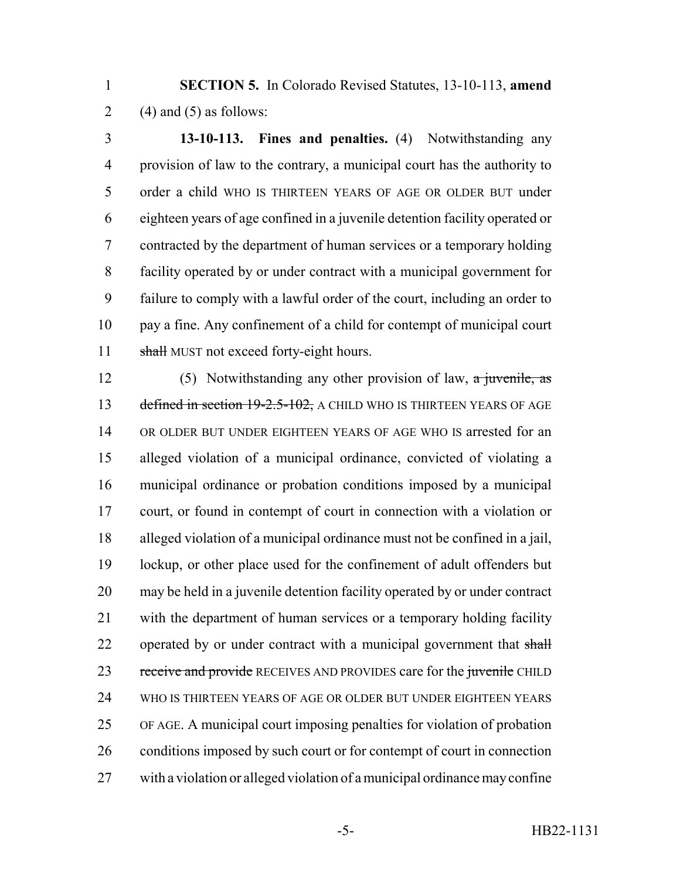**SECTION 5.** In Colorado Revised Statutes, 13-10-113, **amend** 2 (4) and (5) as follows:

 **13-10-113. Fines and penalties.** (4) Notwithstanding any provision of law to the contrary, a municipal court has the authority to order a child WHO IS THIRTEEN YEARS OF AGE OR OLDER BUT under eighteen years of age confined in a juvenile detention facility operated or contracted by the department of human services or a temporary holding facility operated by or under contract with a municipal government for failure to comply with a lawful order of the court, including an order to pay a fine. Any confinement of a child for contempt of municipal court 11 shall MUST not exceed forty-eight hours.

12 (5) Notwithstanding any other provision of law, a juvenile, as 13 defined in section 19-2.5-102, A CHILD WHO IS THIRTEEN YEARS OF AGE OR OLDER BUT UNDER EIGHTEEN YEARS OF AGE WHO IS arrested for an alleged violation of a municipal ordinance, convicted of violating a municipal ordinance or probation conditions imposed by a municipal court, or found in contempt of court in connection with a violation or alleged violation of a municipal ordinance must not be confined in a jail, lockup, or other place used for the confinement of adult offenders but may be held in a juvenile detention facility operated by or under contract with the department of human services or a temporary holding facility 22 operated by or under contract with a municipal government that shall 23 receive and provide RECEIVES AND PROVIDES care for the juvenile CHILD WHO IS THIRTEEN YEARS OF AGE OR OLDER BUT UNDER EIGHTEEN YEARS OF AGE. A municipal court imposing penalties for violation of probation conditions imposed by such court or for contempt of court in connection with a violation or alleged violation of a municipal ordinance may confine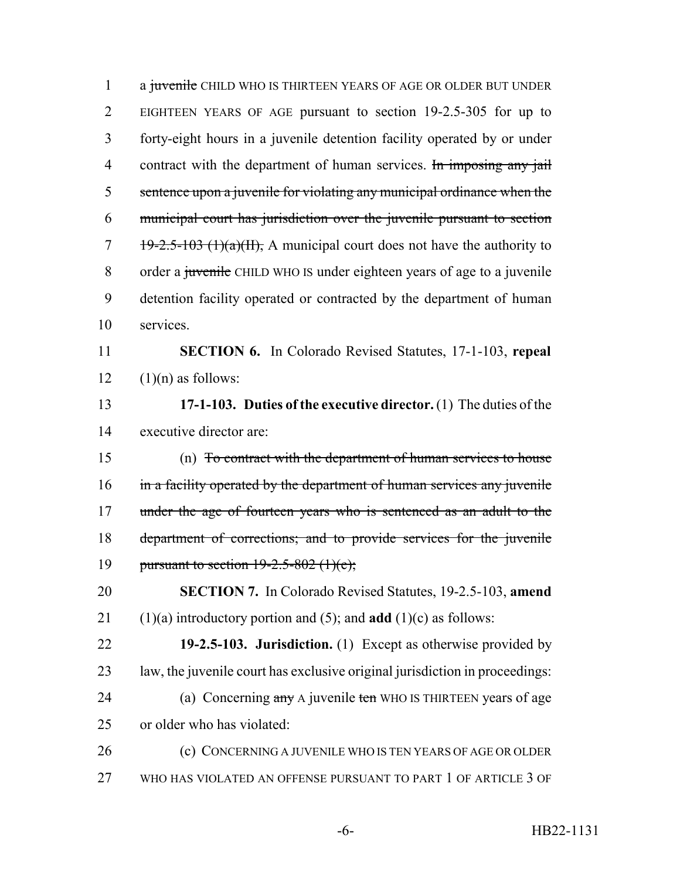1 a juvenile CHILD WHO IS THIRTEEN YEARS OF AGE OR OLDER BUT UNDER EIGHTEEN YEARS OF AGE pursuant to section 19-2.5-305 for up to forty-eight hours in a juvenile detention facility operated by or under 4 contract with the department of human services. In imposing any jail sentence upon a juvenile for violating any municipal ordinance when the municipal court has jurisdiction over the juvenile pursuant to section  $7 \frac{19-2.5-103 \text{ (1)}(a)(H)}{1}$ , A municipal court does not have the authority to 8 order a juvenile CHILD WHO IS under eighteen years of age to a juvenile detention facility operated or contracted by the department of human services. **SECTION 6.** In Colorado Revised Statutes, 17-1-103, **repeal**  $(1)(n)$  as follows: **17-1-103. Duties of the executive director.** (1) The duties of the

executive director are:

 (n) To contract with the department of human services to house 16 in a facility operated by the department of human services any juvenile 17 under the age of fourteen years who is sentenced as an adult to the department of corrections; and to provide services for the juvenile 19 pursuant to section  $19-2.5-802$  (1)(e);

 **SECTION 7.** In Colorado Revised Statutes, 19-2.5-103, **amend** (1)(a) introductory portion and (5); and **add** (1)(c) as follows:

 **19-2.5-103. Jurisdiction.** (1) Except as otherwise provided by 23 law, the juvenile court has exclusive original jurisdiction in proceedings: 24 (a) Concerning any A juvenile ten WHO IS THIRTEEN years of age or older who has violated:

 (c) CONCERNING A JUVENILE WHO IS TEN YEARS OF AGE OR OLDER WHO HAS VIOLATED AN OFFENSE PURSUANT TO PART 1 OF ARTICLE 3 OF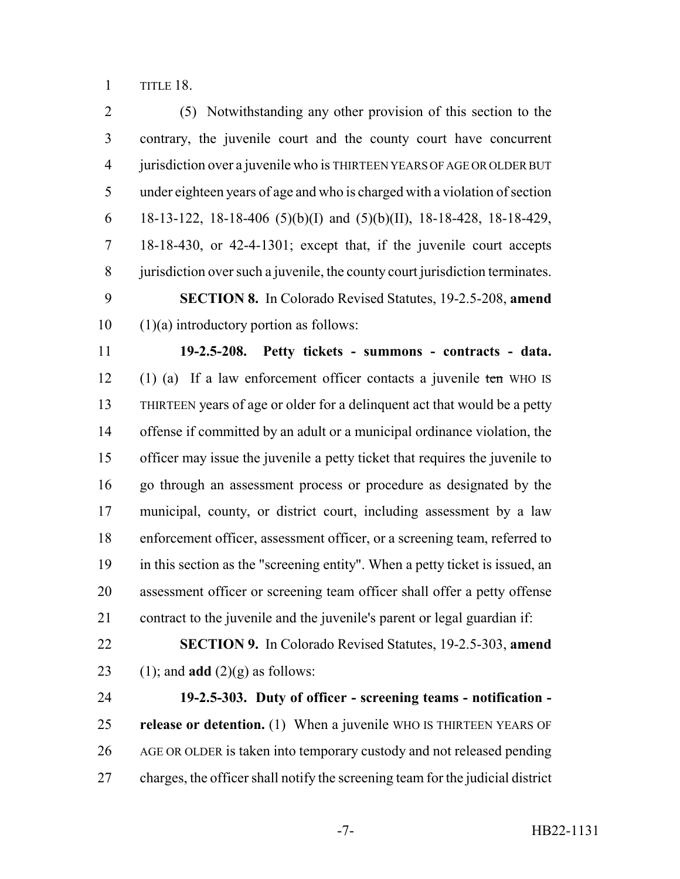TITLE 18.

 (5) Notwithstanding any other provision of this section to the contrary, the juvenile court and the county court have concurrent jurisdiction over a juvenile who is THIRTEEN YEARS OF AGE OR OLDER BUT under eighteen years of age and who is charged with a violation of section 6 18-13-122, 18-18-406 (5)(b)(I) and (5)(b)(II), 18-18-428, 18-18-429, 18-18-430, or 42-4-1301; except that, if the juvenile court accepts jurisdiction over such a juvenile, the county court jurisdiction terminates. **SECTION 8.** In Colorado Revised Statutes, 19-2.5-208, **amend**  $10 \quad (1)(a)$  introductory portion as follows:

 **19-2.5-208. Petty tickets - summons - contracts - data.** 12 (1) (a) If a law enforcement officer contacts a juvenile ten WHO IS THIRTEEN years of age or older for a delinquent act that would be a petty offense if committed by an adult or a municipal ordinance violation, the officer may issue the juvenile a petty ticket that requires the juvenile to go through an assessment process or procedure as designated by the municipal, county, or district court, including assessment by a law enforcement officer, assessment officer, or a screening team, referred to in this section as the "screening entity". When a petty ticket is issued, an assessment officer or screening team officer shall offer a petty offense contract to the juvenile and the juvenile's parent or legal guardian if:

 **SECTION 9.** In Colorado Revised Statutes, 19-2.5-303, **amend** 23 (1); and **add**  $(2)(g)$  as follows:

 **19-2.5-303. Duty of officer - screening teams - notification - release or detention.** (1) When a juvenile WHO IS THIRTEEN YEARS OF AGE OR OLDER is taken into temporary custody and not released pending charges, the officer shall notify the screening team for the judicial district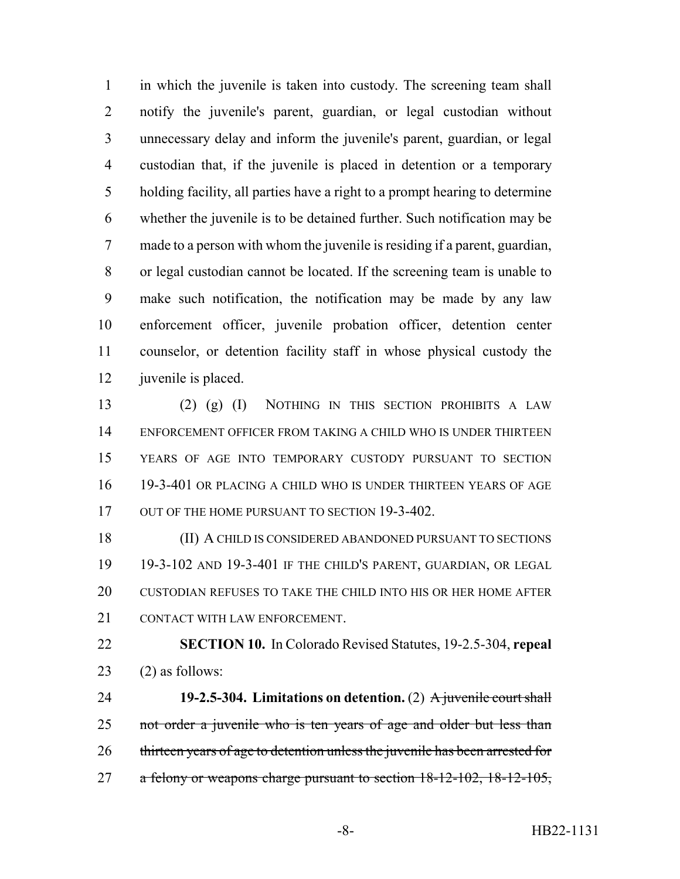in which the juvenile is taken into custody. The screening team shall notify the juvenile's parent, guardian, or legal custodian without unnecessary delay and inform the juvenile's parent, guardian, or legal custodian that, if the juvenile is placed in detention or a temporary holding facility, all parties have a right to a prompt hearing to determine whether the juvenile is to be detained further. Such notification may be made to a person with whom the juvenile is residing if a parent, guardian, or legal custodian cannot be located. If the screening team is unable to make such notification, the notification may be made by any law enforcement officer, juvenile probation officer, detention center counselor, or detention facility staff in whose physical custody the 12 juvenile is placed.

 (2) (g) (I) NOTHING IN THIS SECTION PROHIBITS A LAW ENFORCEMENT OFFICER FROM TAKING A CHILD WHO IS UNDER THIRTEEN YEARS OF AGE INTO TEMPORARY CUSTODY PURSUANT TO SECTION 19-3-401 OR PLACING A CHILD WHO IS UNDER THIRTEEN YEARS OF AGE 17 OUT OF THE HOME PURSUANT TO SECTION 19-3-402.

 (II) A CHILD IS CONSIDERED ABANDONED PURSUANT TO SECTIONS 19-3-102 AND 19-3-401 IF THE CHILD'S PARENT, GUARDIAN, OR LEGAL CUSTODIAN REFUSES TO TAKE THE CHILD INTO HIS OR HER HOME AFTER 21 CONTACT WITH LAW ENFORCEMENT.

 **SECTION 10.** In Colorado Revised Statutes, 19-2.5-304, **repeal** (2) as follows:

 **19-2.5-304. Limitations on detention.** (2) A juvenile court shall 25 not order a juvenile who is ten years of age and older but less than thirteen years of age to detention unless the juvenile has been arrested for 27 a felony or weapons charge pursuant to section 18-12-102, 18-12-105,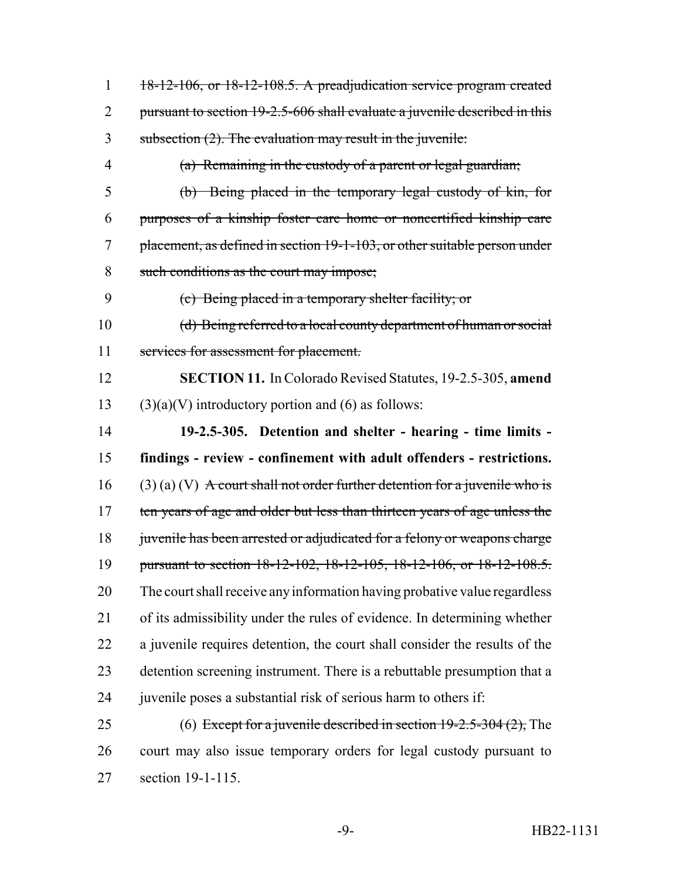| $\mathbf{1}$   | 18-12-106, or 18-12-108.5. A preadjudication service program created          |
|----------------|-------------------------------------------------------------------------------|
| 2              | pursuant to section 19-2.5-606 shall evaluate a juvenile described in this    |
| 3              | subsection (2). The evaluation may result in the juvenile:                    |
| $\overline{4}$ | (a) Remaining in the custody of a parent or legal guardian;                   |
| 5              | (b) Being placed in the temporary legal custody of kin, for                   |
| 6              | purposes of a kinship foster care home or noncertified kinship care           |
| 7              | placement, as defined in section 19-1-103, or other suitable person under     |
| 8              | such conditions as the court may impose;                                      |
| 9              | (c) Being placed in a temporary shelter facility; or                          |
| 10             | (d) Being referred to a local county department of human or social            |
| 11             | services for assessment for placement.                                        |
| 12             | <b>SECTION 11.</b> In Colorado Revised Statutes, 19-2.5-305, amend            |
| 13             | $(3)(a)(V)$ introductory portion and (6) as follows:                          |
| 14             | 19-2.5-305. Detention and shelter - hearing - time limits -                   |
|                |                                                                               |
| 15             | findings - review - confinement with adult offenders - restrictions.          |
| 16             | $(3)$ (a) (V) A court shall not order further detention for a juvenile who is |
| 17             | ten years of age and older but less than thirteen years of age unless the     |
| 18             | juvenile has been arrested or adjudicated for a felony or weapons charge      |
| 19             | pursuant to section 18-12-102, 18-12-105, 18-12-106, or 18-12-108.5.          |
| 20             | The court shall receive any information having probative value regardless     |
| 21             | of its admissibility under the rules of evidence. In determining whether      |
| 22             | a juvenile requires detention, the court shall consider the results of the    |
| 23             | detention screening instrument. There is a rebuttable presumption that a      |
| 24             | juvenile poses a substantial risk of serious harm to others if:               |
| 25             | (6) Except for a juvenile described in section $19-2.5-304(2)$ , The          |
| 26             | court may also issue temporary orders for legal custody pursuant to           |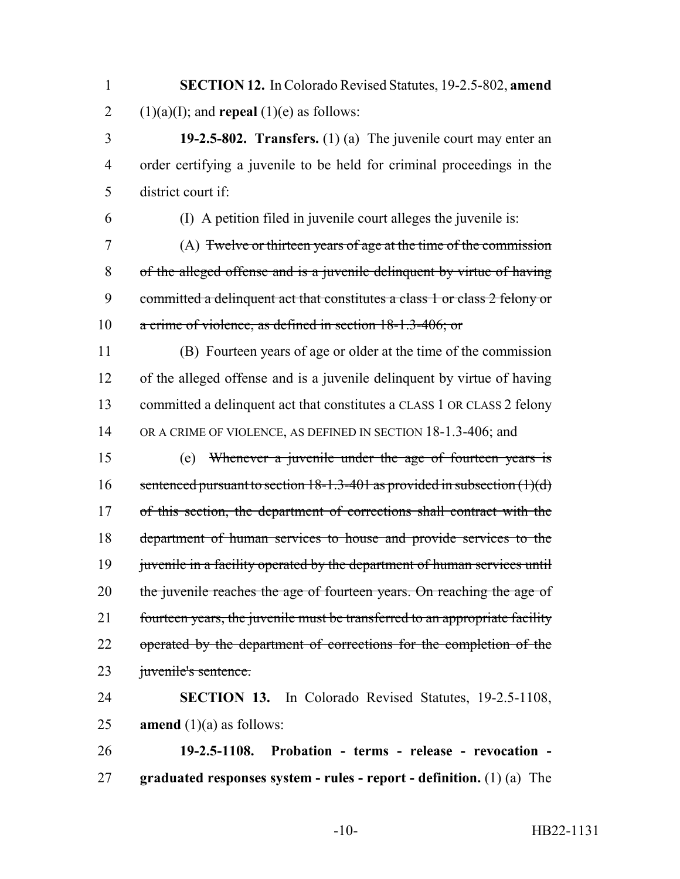**SECTION 12.** In Colorado Revised Statutes, 19-2.5-802, **amend** 2 (1)(a)(I); and **repeal** (1)(e) as follows:

 **19-2.5-802. Transfers.** (1) (a) The juvenile court may enter an order certifying a juvenile to be held for criminal proceedings in the district court if:

(I) A petition filed in juvenile court alleges the juvenile is:

 (A) Twelve or thirteen years of age at the time of the commission of the alleged offense and is a juvenile delinquent by virtue of having committed a delinquent act that constitutes a class 1 or class 2 felony or a crime of violence, as defined in section 18-1.3-406; or

 (B) Fourteen years of age or older at the time of the commission of the alleged offense and is a juvenile delinquent by virtue of having 13 committed a delinquent act that constitutes a CLASS 1 OR CLASS 2 felony 14 OR A CRIME OF VIOLENCE, AS DEFINED IN SECTION 18-1.3-406; and

 (e) Whenever a juvenile under the age of fourteen years is 16 sentenced pursuant to section  $18-1.3-401$  as provided in subsection  $(1)(d)$ 17 of this section, the department of corrections shall contract with the department of human services to house and provide services to the 19 juvenile in a facility operated by the department of human services until 20 the juvenile reaches the age of fourteen years. On reaching the age of fourteen years, the juvenile must be transferred to an appropriate facility 22 operated by the department of corrections for the completion of the 23 juvenile's sentence.

 **SECTION 13.** In Colorado Revised Statutes, 19-2.5-1108, **amend** (1)(a) as follows:

 **19-2.5-1108. Probation - terms - release - revocation - graduated responses system - rules - report - definition.** (1) (a) The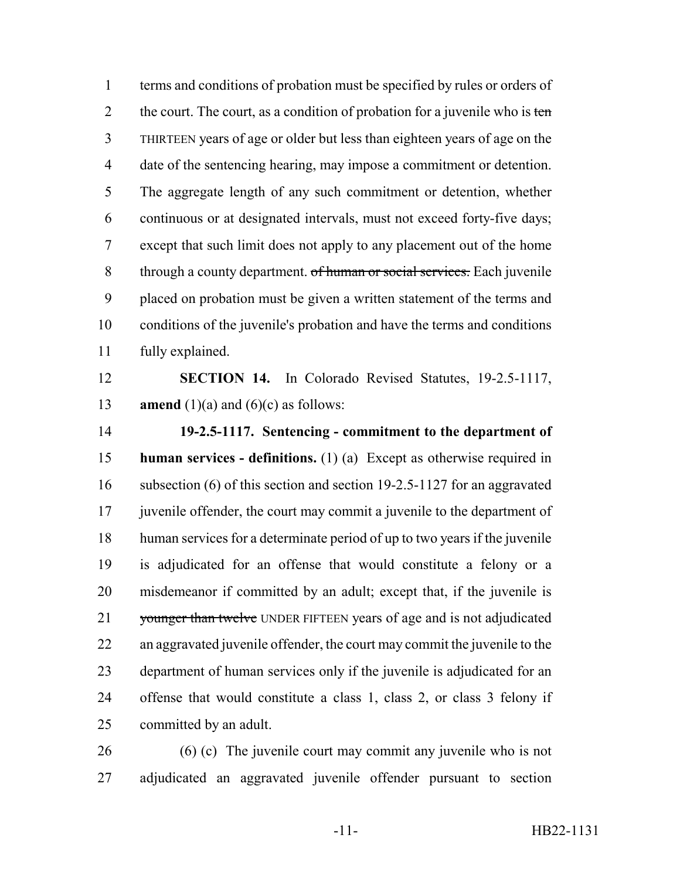terms and conditions of probation must be specified by rules or orders of 2 the court. The court, as a condition of probation for a juvenile who is ten THIRTEEN years of age or older but less than eighteen years of age on the date of the sentencing hearing, may impose a commitment or detention. The aggregate length of any such commitment or detention, whether continuous or at designated intervals, must not exceed forty-five days; except that such limit does not apply to any placement out of the home 8 through a county department. of human or social services. Each juvenile placed on probation must be given a written statement of the terms and conditions of the juvenile's probation and have the terms and conditions fully explained.

 **SECTION 14.** In Colorado Revised Statutes, 19-2.5-1117, **amend** (1)(a) and (6)(c) as follows:

 **19-2.5-1117. Sentencing - commitment to the department of human services - definitions.** (1) (a) Except as otherwise required in 16 subsection (6) of this section and section 19-2.5-1127 for an aggravated 17 juvenile offender, the court may commit a juvenile to the department of human services for a determinate period of up to two years if the juvenile is adjudicated for an offense that would constitute a felony or a misdemeanor if committed by an adult; except that, if the juvenile is 21 younger than twelve UNDER FIFTEEN years of age and is not adjudicated an aggravated juvenile offender, the court may commit the juvenile to the department of human services only if the juvenile is adjudicated for an offense that would constitute a class 1, class 2, or class 3 felony if committed by an adult.

 (6) (c) The juvenile court may commit any juvenile who is not adjudicated an aggravated juvenile offender pursuant to section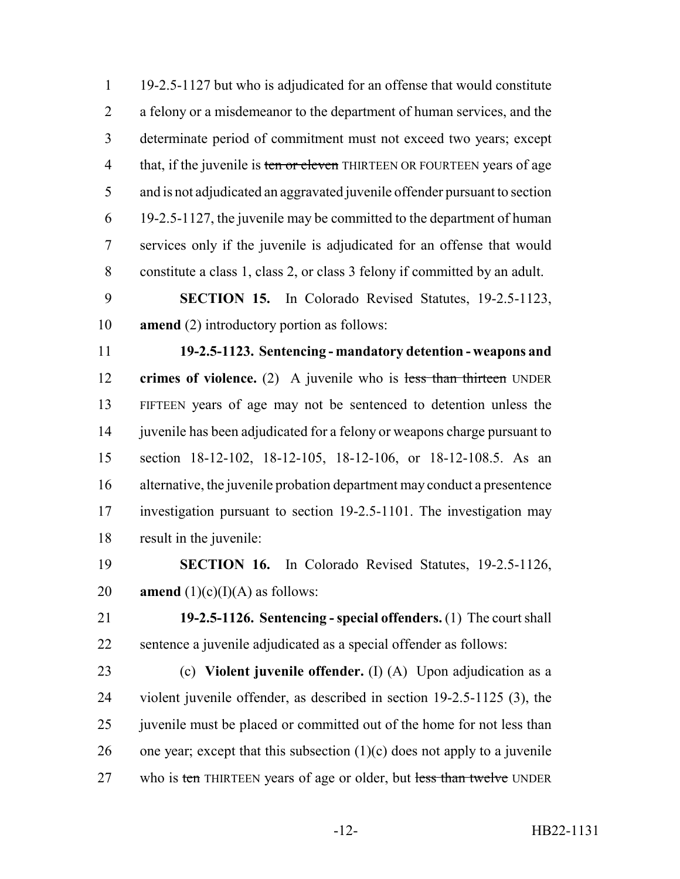19-2.5-1127 but who is adjudicated for an offense that would constitute a felony or a misdemeanor to the department of human services, and the determinate period of commitment must not exceed two years; except 4 that, if the juvenile is ten or eleven THIRTEEN OR FOURTEEN years of age and is not adjudicated an aggravated juvenile offender pursuant to section 19-2.5-1127, the juvenile may be committed to the department of human services only if the juvenile is adjudicated for an offense that would constitute a class 1, class 2, or class 3 felony if committed by an adult.

 **SECTION 15.** In Colorado Revised Statutes, 19-2.5-1123, **amend** (2) introductory portion as follows:

 **19-2.5-1123. Sentencing - mandatory detention - weapons and crimes of violence.** (2) A juvenile who is less than thirteen UNDER FIFTEEN years of age may not be sentenced to detention unless the juvenile has been adjudicated for a felony or weapons charge pursuant to section 18-12-102, 18-12-105, 18-12-106, or 18-12-108.5. As an alternative, the juvenile probation department may conduct a presentence investigation pursuant to section 19-2.5-1101. The investigation may result in the juvenile:

 **SECTION 16.** In Colorado Revised Statutes, 19-2.5-1126, 20 **amend**  $(1)(c)(I)(A)$  as follows:

 **19-2.5-1126. Sentencing - special offenders.** (1) The court shall sentence a juvenile adjudicated as a special offender as follows:

 (c) **Violent juvenile offender.** (I) (A) Upon adjudication as a violent juvenile offender, as described in section 19-2.5-1125 (3), the 25 juven is used be placed or committed out of the home for not less than 26 one year; except that this subsection  $(1)(c)$  does not apply to a juvenile 27 who is ten THIRTEEN years of age or older, but less than twelve UNDER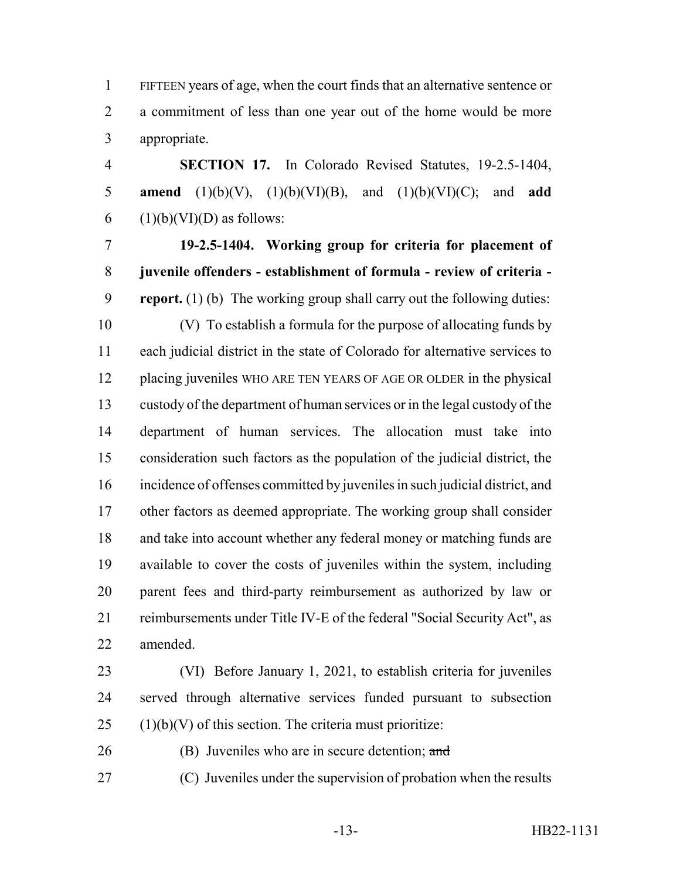FIFTEEN years of age, when the court finds that an alternative sentence or a commitment of less than one year out of the home would be more appropriate.

 **SECTION 17.** In Colorado Revised Statutes, 19-2.5-1404, **amend** (1)(b)(V), (1)(b)(VI)(B), and (1)(b)(VI)(C); and **add** 6 (1)(b)(VI)(D) as follows:

 **19-2.5-1404. Working group for criteria for placement of juvenile offenders - establishment of formula - review of criteria - report.** (1) (b) The working group shall carry out the following duties:

 (V) To establish a formula for the purpose of allocating funds by each judicial district in the state of Colorado for alternative services to placing juveniles WHO ARE TEN YEARS OF AGE OR OLDER in the physical custody of the department of human services or in the legal custody of the department of human services. The allocation must take into consideration such factors as the population of the judicial district, the incidence of offenses committed by juveniles in such judicial district, and other factors as deemed appropriate. The working group shall consider and take into account whether any federal money or matching funds are available to cover the costs of juveniles within the system, including parent fees and third-party reimbursement as authorized by law or reimbursements under Title IV-E of the federal "Social Security Act", as amended.

 (VI) Before January 1, 2021, to establish criteria for juveniles served through alternative services funded pursuant to subsection (1)(b)(V) of this section. The criteria must prioritize:

(B) Juveniles who are in secure detention; and

(C) Juveniles under the supervision of probation when the results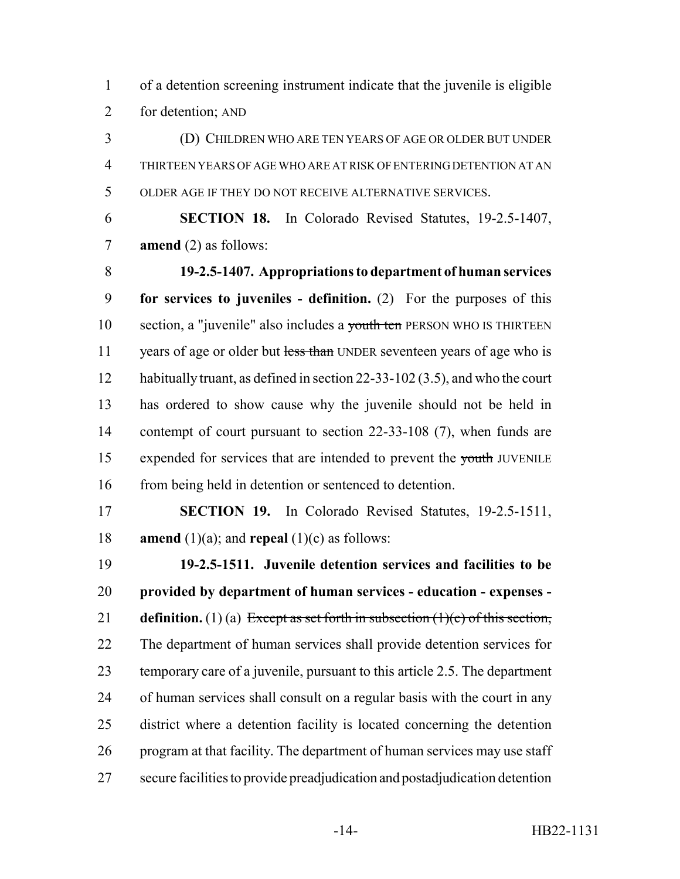of a detention screening instrument indicate that the juvenile is eligible for detention; AND

 (D) CHILDREN WHO ARE TEN YEARS OF AGE OR OLDER BUT UNDER THIRTEEN YEARS OF AGE WHO ARE AT RISK OF ENTERING DETENTION AT AN OLDER AGE IF THEY DO NOT RECEIVE ALTERNATIVE SERVICES.

 **SECTION 18.** In Colorado Revised Statutes, 19-2.5-1407, **amend** (2) as follows:

 **19-2.5-1407. Appropriations to department of human services for services to juveniles - definition.** (2) For the purposes of this 10 section, a "juvenile" also includes a youth ten PERSON WHO IS THIRTEEN 11 years of age or older but less than UNDER seventeen years of age who is habitually truant, as defined in section 22-33-102 (3.5), and who the court has ordered to show cause why the juvenile should not be held in 14 contempt of court pursuant to section 22-33-108 (7), when funds are 15 expended for services that are intended to prevent the youth JUVENILE 16 from being held in detention or sentenced to detention.

 **SECTION 19.** In Colorado Revised Statutes, 19-2.5-1511, **amend** (1)(a); and **repeal** (1)(c) as follows:

 **19-2.5-1511. Juvenile detention services and facilities to be provided by department of human services - education - expenses - definition.** (1) (a) Except as set forth in subsection (1)(c) of this section, The department of human services shall provide detention services for temporary care of a juvenile, pursuant to this article 2.5. The department of human services shall consult on a regular basis with the court in any district where a detention facility is located concerning the detention program at that facility. The department of human services may use staff secure facilities to provide preadjudication and postadjudication detention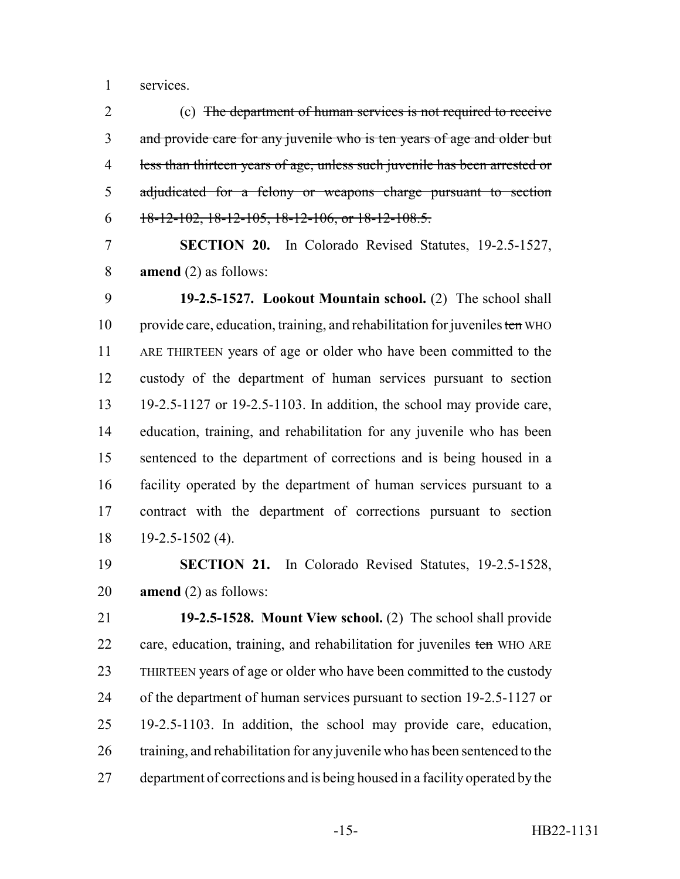services.

 (c) The department of human services is not required to receive 3 and provide care for any juvenile who is ten years of age and older but less than thirteen years of age, unless such juvenile has been arrested or adjudicated for a felony or weapons charge pursuant to section 6 18-12-102, 18-12-105, 18-12-106, or  $18-12-108.5$ .

 **SECTION 20.** In Colorado Revised Statutes, 19-2.5-1527, **amend** (2) as follows:

 **19-2.5-1527. Lookout Mountain school.** (2) The school shall 10 provide care, education, training, and rehabilitation for juveniles ten WHO ARE THIRTEEN years of age or older who have been committed to the custody of the department of human services pursuant to section 19-2.5-1127 or 19-2.5-1103. In addition, the school may provide care, education, training, and rehabilitation for any juvenile who has been sentenced to the department of corrections and is being housed in a facility operated by the department of human services pursuant to a contract with the department of corrections pursuant to section 19-2.5-1502 (4).

 **SECTION 21.** In Colorado Revised Statutes, 19-2.5-1528, **amend** (2) as follows:

 **19-2.5-1528. Mount View school.** (2) The school shall provide 22 care, education, training, and rehabilitation for juveniles ten WHO ARE THIRTEEN years of age or older who have been committed to the custody of the department of human services pursuant to section 19-2.5-1127 or 19-2.5-1103. In addition, the school may provide care, education, training, and rehabilitation for any juvenile who has been sentenced to the department of corrections and is being housed in a facility operated by the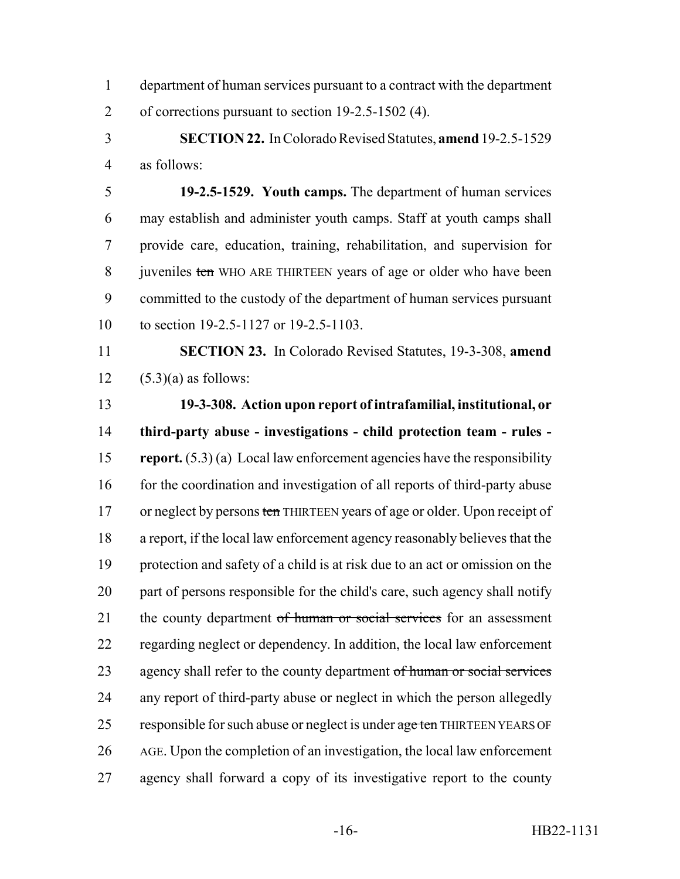department of human services pursuant to a contract with the department of corrections pursuant to section 19-2.5-1502 (4).

 **SECTION 22.** In Colorado Revised Statutes, **amend** 19-2.5-1529 as follows:

 **19-2.5-1529. Youth camps.** The department of human services may establish and administer youth camps. Staff at youth camps shall provide care, education, training, rehabilitation, and supervision for 8 juveniles ten WHO ARE THIRTEEN years of age or older who have been committed to the custody of the department of human services pursuant to section 19-2.5-1127 or 19-2.5-1103.

 **SECTION 23.** In Colorado Revised Statutes, 19-3-308, **amend** 12  $(5.3)(a)$  as follows:

 **19-3-308. Action upon report of intrafamilial, institutional, or third-party abuse - investigations - child protection team - rules - report.** (5.3) (a) Local law enforcement agencies have the responsibility 16 for the coordination and investigation of all reports of third-party abuse 17 or neglect by persons ten THIRTEEN years of age or older. Upon receipt of a report, if the local law enforcement agency reasonably believes that the protection and safety of a child is at risk due to an act or omission on the part of persons responsible for the child's care, such agency shall notify 21 the county department of human or social services for an assessment regarding neglect or dependency. In addition, the local law enforcement 23 agency shall refer to the county department of human or social services any report of third-party abuse or neglect in which the person allegedly 25 responsible for such abuse or neglect is under age ten THIRTEEN YEARS OF AGE. Upon the completion of an investigation, the local law enforcement agency shall forward a copy of its investigative report to the county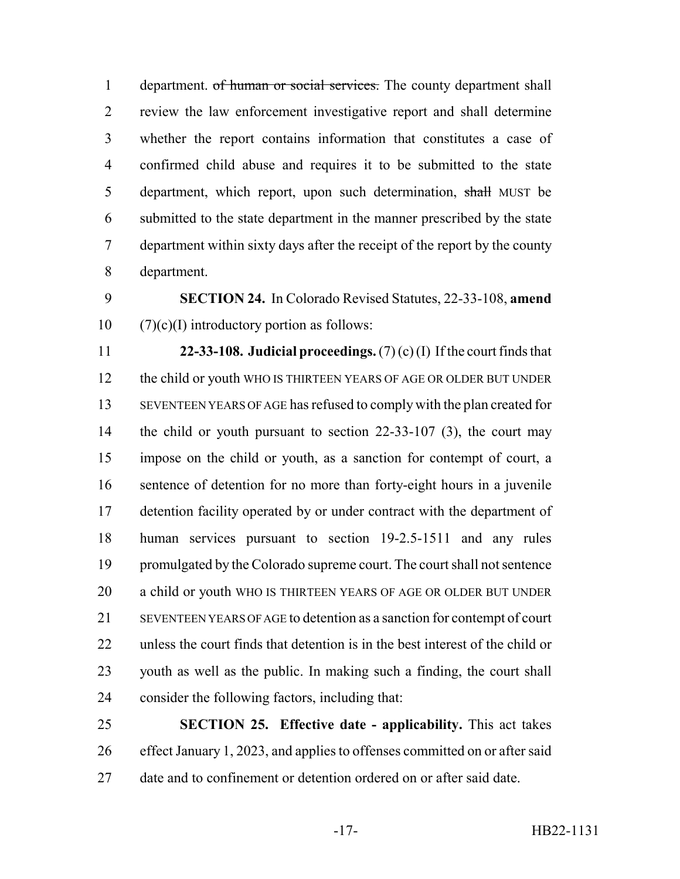1 department. of human or social services. The county department shall review the law enforcement investigative report and shall determine whether the report contains information that constitutes a case of confirmed child abuse and requires it to be submitted to the state 5 department, which report, upon such determination, shall MUST be submitted to the state department in the manner prescribed by the state department within sixty days after the receipt of the report by the county department.

 **SECTION 24.** In Colorado Revised Statutes, 22-33-108, **amend**  $10 \qquad (7)(c)(I)$  introductory portion as follows:

 **22-33-108. Judicial proceedings.** (7) (c) (I) If the court finds that the child or youth WHO IS THIRTEEN YEARS OF AGE OR OLDER BUT UNDER SEVENTEEN YEARS OF AGE has refused to comply with the plan created for 14 the child or youth pursuant to section 22-33-107 (3), the court may impose on the child or youth, as a sanction for contempt of court, a sentence of detention for no more than forty-eight hours in a juvenile 17 detention facility operated by or under contract with the department of human services pursuant to section 19-2.5-1511 and any rules promulgated by the Colorado supreme court. The court shall not sentence a child or youth WHO IS THIRTEEN YEARS OF AGE OR OLDER BUT UNDER SEVENTEEN YEARS OF AGE to detention as a sanction for contempt of court unless the court finds that detention is in the best interest of the child or youth as well as the public. In making such a finding, the court shall consider the following factors, including that:

 **SECTION 25. Effective date - applicability.** This act takes effect January 1, 2023, and applies to offenses committed on or after said date and to confinement or detention ordered on or after said date.